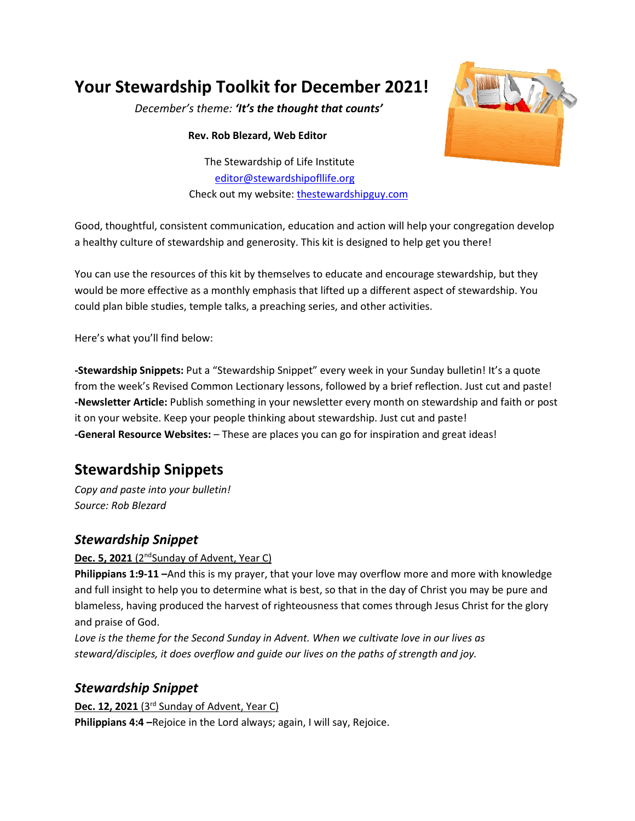# **Your Stewardship Toolkit for December 2021!**

*December's theme: 'It's the thought that counts'*

**Rev. Rob Blezard, Web Editor**

The Stewardship of Life Institute [editor@stewardshipofllife.org](mailto:editor@stewardshipofllife.org) Check out my website: [thestewardshipguy.com](https://www.thestewardshipguy.com/)



Good, thoughtful, consistent communication, education and action will help your congregation develop a healthy culture of stewardship and generosity. This kit is designed to help get you there!

You can use the resources of this kit by themselves to educate and encourage stewardship, but they would be more effective as a monthly emphasis that lifted up a different aspect of stewardship. You could plan bible studies, temple talks, a preaching series, and other activities.

Here's what you'll find below:

**-Stewardship Snippets:** Put a "Stewardship Snippet" every week in your Sunday bulletin! It's a quote from the week's Revised Common Lectionary lessons, followed by a brief reflection. Just cut and paste! **-Newsletter Article:** Publish something in your newsletter every month on stewardship and faith or post it on your website. Keep your people thinking about stewardship. Just cut and paste! **-General Resource Websites:** – These are places you can go for inspiration and great ideas!

# **Stewardship Snippets**

*Copy and paste into your bulletin! Source: Rob Blezard*

### *Stewardship Snippet*

#### **Dec. 5, 2021** (2<sup>nd</sup>Sunday of Advent, Year C)

**Philippians 1:9-11 –**And this is my prayer, that your love may overflow more and more with knowledge and full insight to help you to determine what is best, so that in the day of Christ you may be pure and blameless, having produced the harvest of righteousness that comes through Jesus Christ for the glory and praise of God.

*Love is the theme for the Second Sunday in Advent. When we cultivate love in our lives as steward/disciples, it does overflow and guide our lives on the paths of strength and joy.*

## *Stewardship Snippet*

**Dec. 12, 2021** (3rd Sunday of Advent, Year C) **Philippians 4:4 –**Rejoice in the Lord always; again, I will say, Rejoice.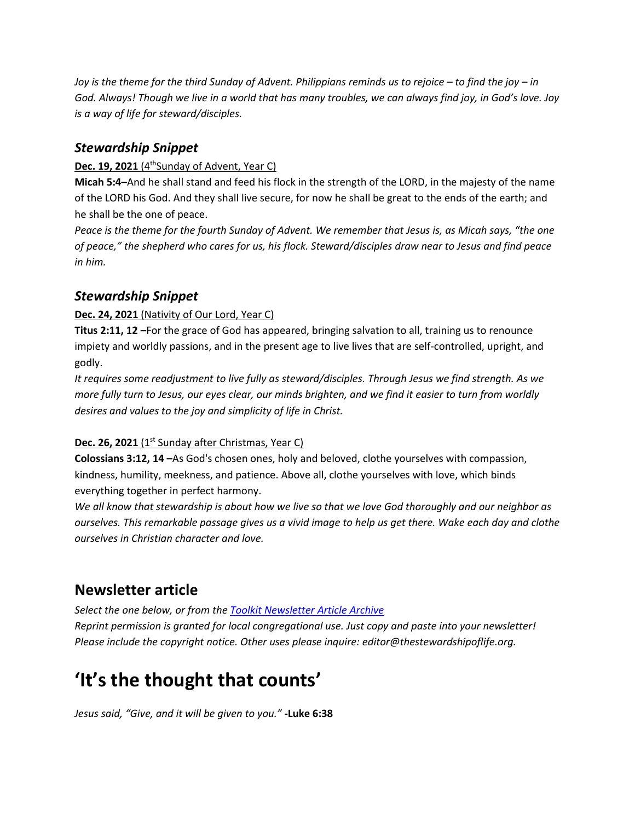*Joy is the theme for the third Sunday of Advent. Philippians reminds us to rejoice – to find the joy – in God. Always! Though we live in a world that has many troubles, we can always find joy, in God's love. Joy is a way of life for steward/disciples.*

### *Stewardship Snippet*

#### **Dec. 19, 2021** (4<sup>th</sup>Sunday of Advent, Year C)

**Micah 5:4–**And he shall stand and feed his flock in the strength of the LORD, in the majesty of the name of the LORD his God. And they shall live secure, for now he shall be great to the ends of the earth; and he shall be the one of peace.

*Peace is the theme for the fourth Sunday of Advent. We remember that Jesus is, as Micah says, "the one of peace," the shepherd who cares for us, his flock. Steward/disciples draw near to Jesus and find peace in him.*

### *Stewardship Snippet*

#### **Dec. 24, 2021** (Nativity of Our Lord, Year C)

**Titus 2:11, 12 –**For the grace of God has appeared, bringing salvation to all, training us to renounce impiety and worldly passions, and in the present age to live lives that are self-controlled, upright, and godly.

*It requires some readjustment to live fully as steward/disciples. Through Jesus we find strength. As we more fully turn to Jesus, our eyes clear, our minds brighten, and we find it easier to turn from worldly desires and values to the joy and simplicity of life in Christ.* 

#### **Dec. 26, 2021** (1<sup>st</sup> Sunday after Christmas, Year C)

**Colossians 3:12, 14 –**As God's chosen ones, holy and beloved, clothe yourselves with compassion, kindness, humility, meekness, and patience. Above all, clothe yourselves with love, which binds everything together in perfect harmony.

*We all know that stewardship is about how we live so that we love God thoroughly and our neighbor as ourselves. This remarkable passage gives us a vivid image to help us get there. Wake each day and clothe ourselves in Christian character and love.*

## **Newsletter article**

*Select the one below, or from the [Toolkit Newsletter Article Archive](https://www.lss-elca.org/toolkit-newsletter-archive/) Reprint permission is granted for local congregational use. Just copy and paste into your newsletter! Please include the copyright notice. Other uses please inquire: editor@thestewardshipoflife.org.*

# **'It's the thought that counts'**

*Jesus said, "Give, and it will be given to you."* **-Luke 6:38**